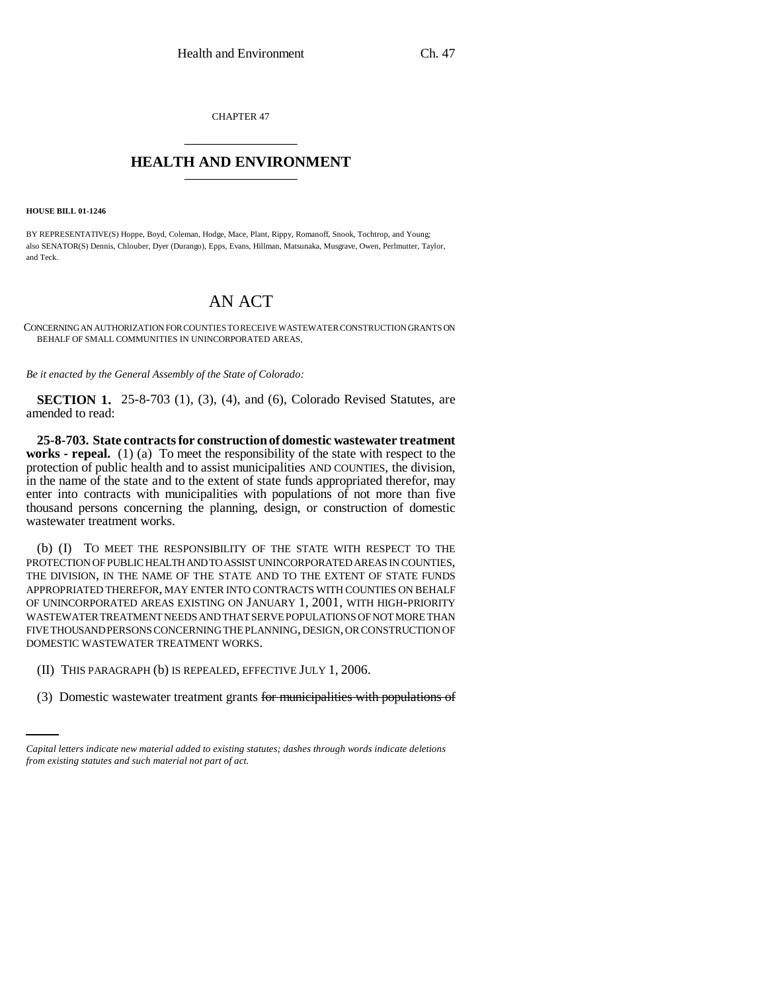CHAPTER 47 \_\_\_\_\_\_\_\_\_\_\_\_\_\_\_

## **HEALTH AND ENVIRONMENT** \_\_\_\_\_\_\_\_\_\_\_\_\_\_\_

**HOUSE BILL 01-1246**

BY REPRESENTATIVE(S) Hoppe, Boyd, Coleman, Hodge, Mace, Plant, Rippy, Romanoff, Snook, Tochtrop, and Young; also SENATOR(S) Dennis, Chlouber, Dyer (Durango), Epps, Evans, Hillman, Matsunaka, Musgrave, Owen, Perlmutter, Taylor, and Teck.

## AN ACT

CONCERNING AN AUTHORIZATION FOR COUNTIES TO RECEIVE WASTEWATER CONSTRUCTION GRANTS ON BEHALF OF SMALL COMMUNITIES IN UNINCORPORATED AREAS.

*Be it enacted by the General Assembly of the State of Colorado:*

**SECTION 1.** 25-8-703 (1), (3), (4), and (6), Colorado Revised Statutes, are amended to read:

**25-8-703. State contracts for construction of domestic wastewater treatment works - repeal.** (1) (a) To meet the responsibility of the state with respect to the protection of public health and to assist municipalities AND COUNTIES, the division, in the name of the state and to the extent of state funds appropriated therefor, may enter into contracts with municipalities with populations of not more than five thousand persons concerning the planning, design, or construction of domestic wastewater treatment works.

(b) (I) TO MEET THE RESPONSIBILITY OF THE STATE WITH RESPECT TO THE PROTECTION OF PUBLIC HEALTH AND TO ASSIST UNINCORPORATED AREAS IN COUNTIES, THE DIVISION, IN THE NAME OF THE STATE AND TO THE EXTENT OF STATE FUNDS APPROPRIATED THEREFOR, MAY ENTER INTO CONTRACTS WITH COUNTIES ON BEHALF OF UNINCORPORATED AREAS EXISTING ON JANUARY 1, 2001, WITH HIGH-PRIORITY WASTEWATER TREATMENT NEEDS AND THAT SERVE POPULATIONS OF NOT MORE THAN FIVE THOUSAND PERSONS CONCERNING THE PLANNING, DESIGN, OR CONSTRUCTION OF DOMESTIC WASTEWATER TREATMENT WORKS.

- (II) THIS PARAGRAPH (b) IS REPEALED, EFFECTIVE JULY 1, 2006.
	- (3) Domestic wastewater treatment grants for municipalities with populations of

*Capital letters indicate new material added to existing statutes; dashes through words indicate deletions from existing statutes and such material not part of act.*